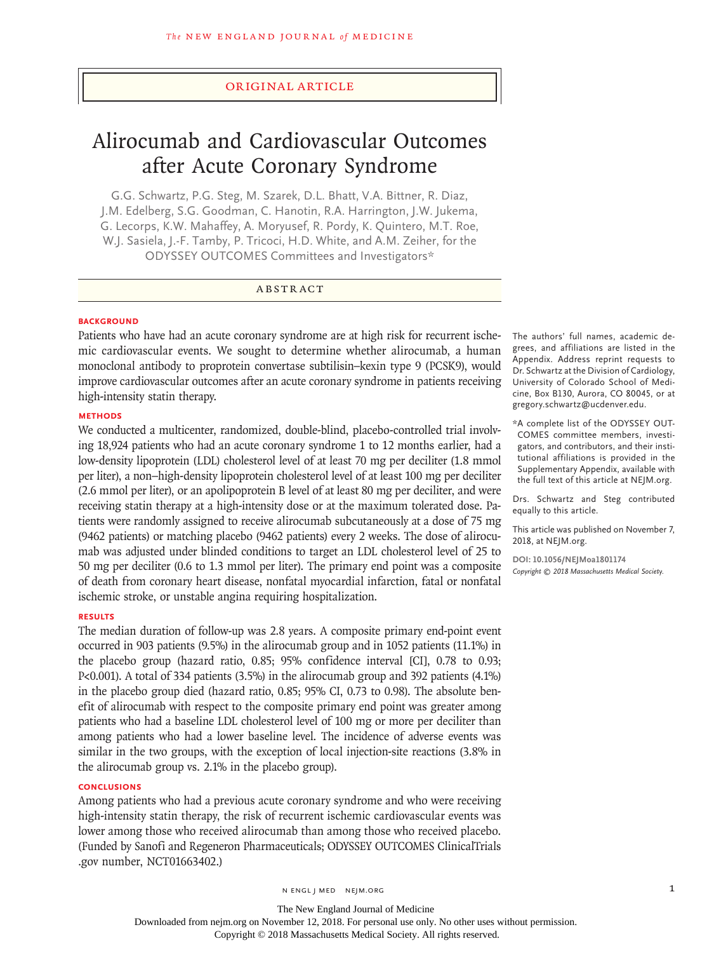### Original Article

# Alirocumab and Cardiovascular Outcomes after Acute Coronary Syndrome

G.G. Schwartz, P.G. Steg, M. Szarek, D.L. Bhatt, V.A. Bittner, R. Diaz, J.M. Edelberg, S.G. Goodman, C. Hanotin, R.A. Harrington, J.W. Jukema, G. Lecorps, K.W. Mahaffey, A. Moryusef, R. Pordy, K. Quintero, M.T. Roe, W.J. Sasiela, J.-F. Tamby, P. Tricoci, H.D. White, and A.M. Zeiher, for the ODYSSEY OUTCOMES Committees and Investigators\*

## ABSTRACT

## **BACKGROUND**

Patients who have had an acute coronary syndrome are at high risk for recurrent ischemic cardiovascular events. We sought to determine whether alirocumab, a human monoclonal antibody to proprotein convertase subtilisin–kexin type 9 (PCSK9), would improve cardiovascular outcomes after an acute coronary syndrome in patients receiving high-intensity statin therapy.

## **METHODS**

We conducted a multicenter, randomized, double-blind, placebo-controlled trial involving 18,924 patients who had an acute coronary syndrome 1 to 12 months earlier, had a low-density lipoprotein (LDL) cholesterol level of at least 70 mg per deciliter (1.8 mmol per liter), a non−high-density lipoprotein cholesterol level of at least 100 mg per deciliter (2.6 mmol per liter), or an apolipoprotein B level of at least 80 mg per deciliter, and were receiving statin therapy at a high-intensity dose or at the maximum tolerated dose. Patients were randomly assigned to receive alirocumab subcutaneously at a dose of 75 mg (9462 patients) or matching placebo (9462 patients) every 2 weeks. The dose of alirocumab was adjusted under blinded conditions to target an LDL cholesterol level of 25 to 50 mg per deciliter (0.6 to 1.3 mmol per liter). The primary end point was a composite of death from coronary heart disease, nonfatal myocardial infarction, fatal or nonfatal ischemic stroke, or unstable angina requiring hospitalization.

## **RESULTS**

The median duration of follow-up was 2.8 years. A composite primary end-point event occurred in 903 patients (9.5%) in the alirocumab group and in 1052 patients (11.1%) in the placebo group (hazard ratio, 0.85; 95% confidence interval [CI], 0.78 to 0.93; P<0.001). A total of 334 patients (3.5%) in the alirocumab group and 392 patients (4.1%) in the placebo group died (hazard ratio, 0.85; 95% CI, 0.73 to 0.98). The absolute benefit of alirocumab with respect to the composite primary end point was greater among patients who had a baseline LDL cholesterol level of 100 mg or more per deciliter than among patients who had a lower baseline level. The incidence of adverse events was similar in the two groups, with the exception of local injection-site reactions (3.8% in the alirocumab group vs. 2.1% in the placebo group).

## **CONCLUSIONS**

Among patients who had a previous acute coronary syndrome and who were receiving high-intensity statin therapy, the risk of recurrent ischemic cardiovascular events was lower among those who received alirocumab than among those who received placebo. (Funded by Sanofi and Regeneron Pharmaceuticals; ODYSSEY OUTCOMES ClinicalTrials .gov number, NCT01663402.)

The authors' full names, academic degrees, and affiliations are listed in the Appendix. Address reprint requests to Dr. Schwartz at the Division of Cardiology, University of Colorado School of Medicine, Box B130, Aurora, CO 80045, or at gregory.schwartz@ucdenver.edu.

\*A complete list of the ODYSSEY OUT-COMES committee members, investigators, and contributors, and their institutional affiliations is provided in the Supplementary Appendix, available with the full text of this article at NEJM.org.

Drs. Schwartz and Steg contributed equally to this article.

This article was published on November 7, 2018, at NEJM.org.

**DOI: 10.1056/NEJMoa1801174** *Copyright © 2018 Massachusetts Medical Society.*

The New England Journal of Medicine Downloaded from nejm.org on November 12, 2018. For personal use only. No other uses without permission. Copyright © 2018 Massachusetts Medical Society. All rights reserved.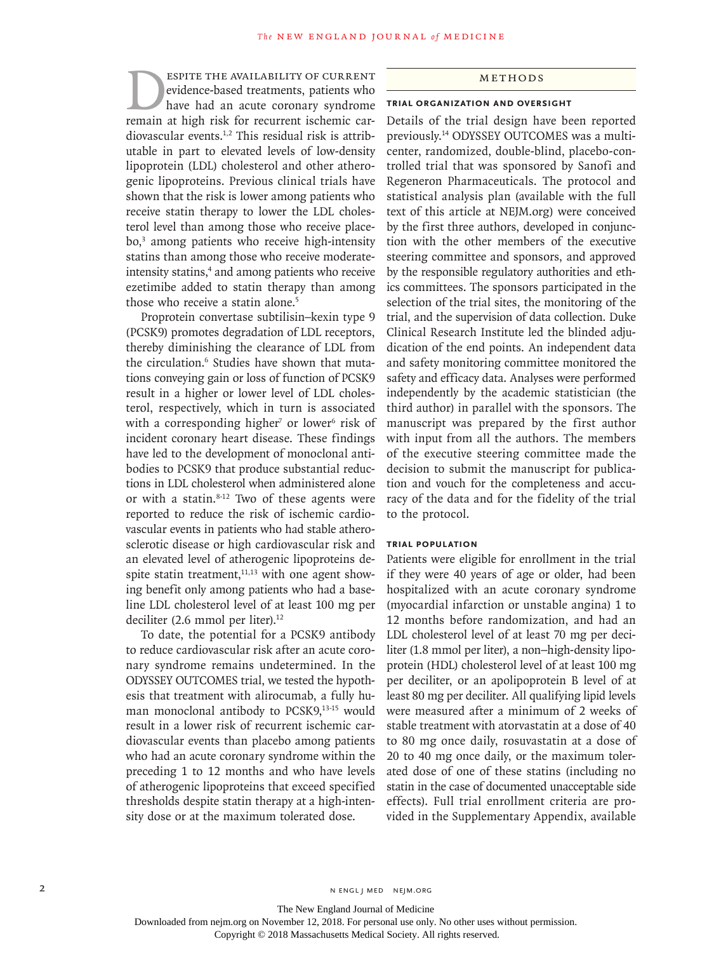ESPITE THE AVAILABILITY OF CURRENT<br>
evidence-based treatments, patients who<br>
have had an acute coronary syndrome<br>
remain at high risk for recurrent ischemic carevidence-based treatments, patients who have had an acute coronary syndrome remain at high risk for recurrent ischemic cardiovascular events.1,2 This residual risk is attributable in part to elevated levels of low-density lipoprotein (LDL) cholesterol and other atherogenic lipoproteins. Previous clinical trials have shown that the risk is lower among patients who receive statin therapy to lower the LDL cholesterol level than among those who receive placebo,3 among patients who receive high-intensity statins than among those who receive moderateintensity statins,<sup>4</sup> and among patients who receive ezetimibe added to statin therapy than among those who receive a statin alone.<sup>5</sup>

Proprotein convertase subtilisin–kexin type 9 (PCSK9) promotes degradation of LDL receptors, thereby diminishing the clearance of LDL from the circulation.<sup>6</sup> Studies have shown that mutations conveying gain or loss of function of PCSK9 result in a higher or lower level of LDL cholesterol, respectively, which in turn is associated with a corresponding higher<sup>7</sup> or lower<sup>6</sup> risk of incident coronary heart disease. These findings have led to the development of monoclonal antibodies to PCSK9 that produce substantial reductions in LDL cholesterol when administered alone or with a statin. $8-12$  Two of these agents were reported to reduce the risk of ischemic cardiovascular events in patients who had stable atherosclerotic disease or high cardiovascular risk and an elevated level of atherogenic lipoproteins despite statin treatment, $11,13$  with one agent showing benefit only among patients who had a baseline LDL cholesterol level of at least 100 mg per deciliter (2.6 mmol per liter).<sup>12</sup>

To date, the potential for a PCSK9 antibody to reduce cardiovascular risk after an acute coronary syndrome remains undetermined. In the ODYSSEY OUTCOMES trial, we tested the hypothesis that treatment with alirocumab, a fully human monoclonal antibody to PCSK9,<sup>13-15</sup> would result in a lower risk of recurrent ischemic cardiovascular events than placebo among patients who had an acute coronary syndrome within the preceding 1 to 12 months and who have levels of atherogenic lipoproteins that exceed specified thresholds despite statin therapy at a high-intensity dose or at the maximum tolerated dose.

#### Methods

#### **Trial Organization and Oversight**

Details of the trial design have been reported previously.14 ODYSSEY OUTCOMES was a multicenter, randomized, double-blind, placebo-controlled trial that was sponsored by Sanofi and Regeneron Pharmaceuticals. The protocol and statistical analysis plan (available with the full text of this article at NEJM.org) were conceived by the first three authors, developed in conjunction with the other members of the executive steering committee and sponsors, and approved by the responsible regulatory authorities and ethics committees. The sponsors participated in the selection of the trial sites, the monitoring of the trial, and the supervision of data collection. Duke Clinical Research Institute led the blinded adjudication of the end points. An independent data and safety monitoring committee monitored the safety and efficacy data. Analyses were performed independently by the academic statistician (the third author) in parallel with the sponsors. The manuscript was prepared by the first author with input from all the authors. The members of the executive steering committee made the decision to submit the manuscript for publication and vouch for the completeness and accuracy of the data and for the fidelity of the trial to the protocol.

#### **Trial Population**

Patients were eligible for enrollment in the trial if they were 40 years of age or older, had been hospitalized with an acute coronary syndrome (myocardial infarction or unstable angina) 1 to 12 months before randomization, and had an LDL cholesterol level of at least 70 mg per deciliter (1.8 mmol per liter), a non−high-density lipoprotein (HDL) cholesterol level of at least 100 mg per deciliter, or an apolipoprotein B level of at least 80 mg per deciliter. All qualifying lipid levels were measured after a minimum of 2 weeks of stable treatment with atorvastatin at a dose of 40 to 80 mg once daily, rosuvastatin at a dose of 20 to 40 mg once daily, or the maximum tolerated dose of one of these statins (including no statin in the case of documented unacceptable side effects). Full trial enrollment criteria are provided in the Supplementary Appendix, available

The New England Journal of Medicine Downloaded from nejm.org on November 12, 2018. For personal use only. No other uses without permission.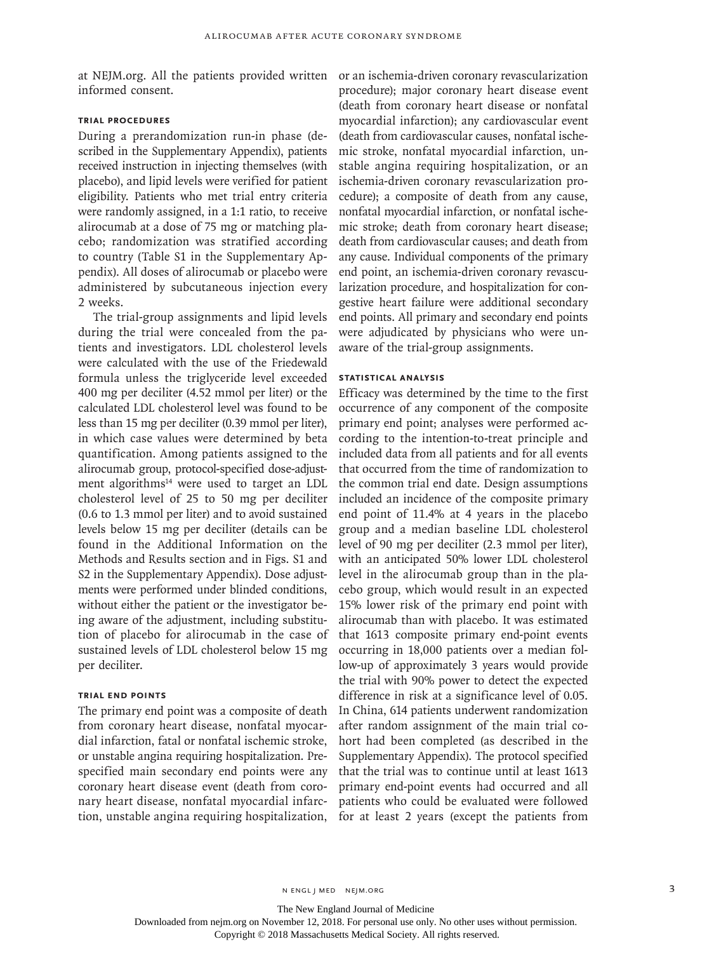at NEJM.org. All the patients provided written or an ischemia-driven coronary revascularization informed consent.

## **Trial Procedures**

During a prerandomization run-in phase (described in the Supplementary Appendix), patients received instruction in injecting themselves (with placebo), and lipid levels were verified for patient eligibility. Patients who met trial entry criteria were randomly assigned, in a 1:1 ratio, to receive alirocumab at a dose of 75 mg or matching placebo; randomization was stratified according to country (Table S1 in the Supplementary Appendix). All doses of alirocumab or placebo were administered by subcutaneous injection every 2 weeks.

The trial-group assignments and lipid levels during the trial were concealed from the patients and investigators. LDL cholesterol levels were calculated with the use of the Friedewald formula unless the triglyceride level exceeded 400 mg per deciliter (4.52 mmol per liter) or the calculated LDL cholesterol level was found to be less than 15 mg per deciliter (0.39 mmol per liter), in which case values were determined by beta quantification. Among patients assigned to the alirocumab group, protocol-specified dose-adjustment algorithms<sup>14</sup> were used to target an LDL cholesterol level of 25 to 50 mg per deciliter (0.6 to 1.3 mmol per liter) and to avoid sustained levels below 15 mg per deciliter (details can be found in the Additional Information on the Methods and Results section and in Figs. S1 and S2 in the Supplementary Appendix). Dose adjustments were performed under blinded conditions, without either the patient or the investigator being aware of the adjustment, including substitution of placebo for alirocumab in the case of sustained levels of LDL cholesterol below 15 mg per deciliter.

## **Trial End Points**

The primary end point was a composite of death from coronary heart disease, nonfatal myocardial infarction, fatal or nonfatal ischemic stroke, or unstable angina requiring hospitalization. Prespecified main secondary end points were any coronary heart disease event (death from coronary heart disease, nonfatal myocardial infarction, unstable angina requiring hospitalization, procedure); major coronary heart disease event (death from coronary heart disease or nonfatal myocardial infarction); any cardiovascular event (death from cardiovascular causes, nonfatal ischemic stroke, nonfatal myocardial infarction, unstable angina requiring hospitalization, or an ischemia-driven coronary revascularization procedure); a composite of death from any cause, nonfatal myocardial infarction, or nonfatal ischemic stroke; death from coronary heart disease; death from cardiovascular causes; and death from any cause. Individual components of the primary end point, an ischemia-driven coronary revascularization procedure, and hospitalization for congestive heart failure were additional secondary end points. All primary and secondary end points were adjudicated by physicians who were unaware of the trial-group assignments.

## **Statistical Analysis**

Efficacy was determined by the time to the first occurrence of any component of the composite primary end point; analyses were performed according to the intention-to-treat principle and included data from all patients and for all events that occurred from the time of randomization to the common trial end date. Design assumptions included an incidence of the composite primary end point of 11.4% at 4 years in the placebo group and a median baseline LDL cholesterol level of 90 mg per deciliter (2.3 mmol per liter), with an anticipated 50% lower LDL cholesterol level in the alirocumab group than in the placebo group, which would result in an expected 15% lower risk of the primary end point with alirocumab than with placebo. It was estimated that 1613 composite primary end-point events occurring in 18,000 patients over a median follow-up of approximately 3 years would provide the trial with 90% power to detect the expected difference in risk at a significance level of 0.05. In China, 614 patients underwent randomization after random assignment of the main trial cohort had been completed (as described in the Supplementary Appendix). The protocol specified that the trial was to continue until at least 1613 primary end-point events had occurred and all patients who could be evaluated were followed for at least 2 years (except the patients from

The New England Journal of Medicine

Downloaded from nejm.org on November 12, 2018. For personal use only. No other uses without permission.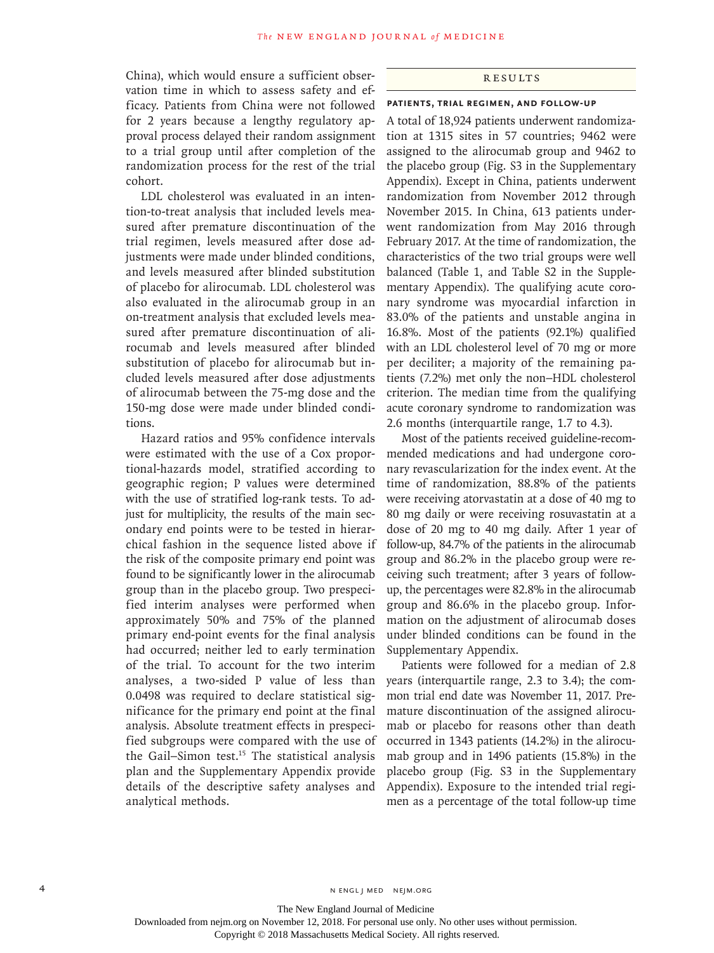China), which would ensure a sufficient observation time in which to assess safety and efficacy. Patients from China were not followed for 2 years because a lengthy regulatory approval process delayed their random assignment to a trial group until after completion of the randomization process for the rest of the trial cohort.

LDL cholesterol was evaluated in an intention-to-treat analysis that included levels measured after premature discontinuation of the trial regimen, levels measured after dose adjustments were made under blinded conditions, and levels measured after blinded substitution of placebo for alirocumab. LDL cholesterol was also evaluated in the alirocumab group in an on-treatment analysis that excluded levels measured after premature discontinuation of alirocumab and levels measured after blinded substitution of placebo for alirocumab but included levels measured after dose adjustments of alirocumab between the 75-mg dose and the 150-mg dose were made under blinded conditions.

Hazard ratios and 95% confidence intervals were estimated with the use of a Cox proportional-hazards model, stratified according to geographic region; P values were determined with the use of stratified log-rank tests. To adjust for multiplicity, the results of the main secondary end points were to be tested in hierarchical fashion in the sequence listed above if the risk of the composite primary end point was found to be significantly lower in the alirocumab group than in the placebo group. Two prespecified interim analyses were performed when approximately 50% and 75% of the planned primary end-point events for the final analysis had occurred; neither led to early termination of the trial. To account for the two interim analyses, a two-sided P value of less than 0.0498 was required to declare statistical significance for the primary end point at the final analysis. Absolute treatment effects in prespecified subgroups were compared with the use of the Gail−Simon test.15 The statistical analysis plan and the Supplementary Appendix provide details of the descriptive safety analyses and analytical methods.

### Results

#### **Patients, Trial Regimen, and Follow-up**

A total of 18,924 patients underwent randomization at 1315 sites in 57 countries; 9462 were assigned to the alirocumab group and 9462 to the placebo group (Fig. S3 in the Supplementary Appendix). Except in China, patients underwent randomization from November 2012 through November 2015. In China, 613 patients underwent randomization from May 2016 through February 2017. At the time of randomization, the characteristics of the two trial groups were well balanced (Table 1, and Table S2 in the Supplementary Appendix). The qualifying acute coronary syndrome was myocardial infarction in 83.0% of the patients and unstable angina in 16.8%. Most of the patients (92.1%) qualified with an LDL cholesterol level of 70 mg or more per deciliter; a majority of the remaining patients (7.2%) met only the non−HDL cholesterol criterion. The median time from the qualifying acute coronary syndrome to randomization was 2.6 months (interquartile range, 1.7 to 4.3).

Most of the patients received guideline-recommended medications and had undergone coronary revascularization for the index event. At the time of randomization, 88.8% of the patients were receiving atorvastatin at a dose of 40 mg to 80 mg daily or were receiving rosuvastatin at a dose of 20 mg to 40 mg daily. After 1 year of follow-up, 84.7% of the patients in the alirocumab group and 86.2% in the placebo group were receiving such treatment; after 3 years of followup, the percentages were 82.8% in the alirocumab group and 86.6% in the placebo group. Information on the adjustment of alirocumab doses under blinded conditions can be found in the Supplementary Appendix.

Patients were followed for a median of 2.8 years (interquartile range, 2.3 to 3.4); the common trial end date was November 11, 2017. Premature discontinuation of the assigned alirocumab or placebo for reasons other than death occurred in 1343 patients (14.2%) in the alirocumab group and in 1496 patients (15.8%) in the placebo group (Fig. S3 in the Supplementary Appendix). Exposure to the intended trial regimen as a percentage of the total follow-up time

The New England Journal of Medicine Downloaded from nejm.org on November 12, 2018. For personal use only. No other uses without permission.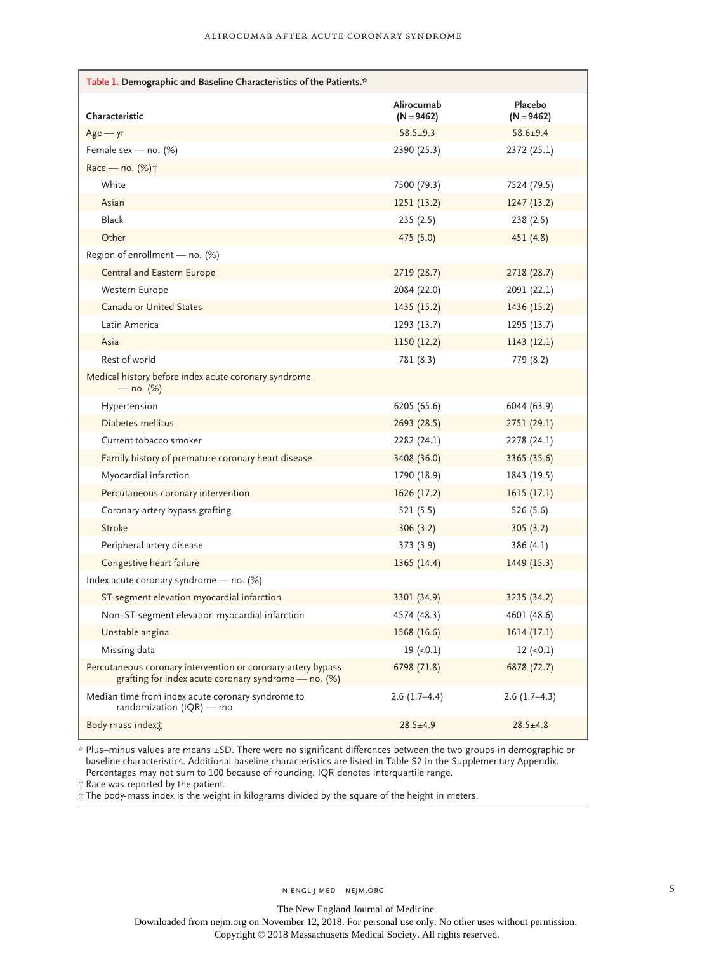| Table 1. Demographic and Baseline Characteristics of the Patients.*                                                    |                            |                         |
|------------------------------------------------------------------------------------------------------------------------|----------------------------|-------------------------|
| Characteristic                                                                                                         | Alirocumab<br>$(N = 9462)$ | Placebo<br>$(N = 9462)$ |
| $Age - yr$                                                                                                             | $58.5 \pm 9.3$             | $58.6 \pm 9.4$          |
| Female sex - no. (%)                                                                                                   | 2390 (25.3)                | 2372 (25.1)             |
| Race - no. (%) <sup>+</sup>                                                                                            |                            |                         |
| White                                                                                                                  | 7500 (79.3)                | 7524 (79.5)             |
| Asian                                                                                                                  | 1251(13.2)                 | 1247(13.2)              |
| Black                                                                                                                  | 235(2.5)                   | 238(2.5)                |
| Other                                                                                                                  | 475 (5.0)                  | 451 (4.8)               |
| Region of enrollment - no. (%)                                                                                         |                            |                         |
| Central and Eastern Europe                                                                                             | 2719 (28.7)                | 2718 (28.7)             |
| Western Europe                                                                                                         | 2084 (22.0)                | 2091 (22.1)             |
| Canada or United States                                                                                                | 1435 (15.2)                | 1436 (15.2)             |
| Latin America                                                                                                          | 1293 (13.7)                | 1295 (13.7)             |
| Asia                                                                                                                   | 1150 (12.2)                | 1143 (12.1)             |
| Rest of world                                                                                                          | 781 (8.3)                  | 779 (8.2)               |
| Medical history before index acute coronary syndrome<br>— no. (%)                                                      |                            |                         |
| Hypertension                                                                                                           | 6205 (65.6)                | 6044 (63.9)             |
| Diabetes mellitus                                                                                                      | 2693 (28.5)                | 2751 (29.1)             |
| Current tobacco smoker                                                                                                 | 2282 (24.1)                | 2278 (24.1)             |
| Family history of premature coronary heart disease                                                                     | 3408 (36.0)                | 3365 (35.6)             |
| Myocardial infarction                                                                                                  | 1790 (18.9)                | 1843 (19.5)             |
| Percutaneous coronary intervention                                                                                     | 1626 (17.2)                | 1615(17.1)              |
| Coronary-artery bypass grafting                                                                                        | 521 (5.5)                  | 526 (5.6)               |
| Stroke                                                                                                                 | 306(3.2)                   | 305(3.2)                |
| Peripheral artery disease                                                                                              | 373(3.9)                   | 386(4.1)                |
| Congestive heart failure                                                                                               | 1365(14.4)                 | 1449 (15.3)             |
| Index acute coronary syndrome - no. (%)                                                                                |                            |                         |
| ST-segment elevation myocardial infarction                                                                             | 3301 (34.9)                | 3235 (34.2)             |
| Non-ST-segment elevation myocardial infarction                                                                         | 4574 (48.3)                | 4601 (48.6)             |
| Unstable angina                                                                                                        | 1568 (16.6)                | 1614(17.1)              |
| Missing data                                                                                                           | $19$ ( $< 0.1$ )           | $12 (-0.1)$             |
| Percutaneous coronary intervention or coronary-artery bypass<br>grafting for index acute coronary syndrome $-$ no. (%) | 6798 (71.8)                | 6878 (72.7)             |
| Median time from index acute coronary syndrome to<br>randomization (IQR) - mo                                          | $2.6(1.7-4.4)$             | $2.6(1.7-4.3)$          |
| Body-mass indext:                                                                                                      | $28.5 \pm 4.9$             | $28.5 \pm 4.8$          |

\* Plus–minus values are means ±SD. There were no significant differences between the two groups in demographic or baseline characteristics. Additional baseline characteristics are listed in Table S2 in the Supplementary Appendix. Percentages may not sum to 100 because of rounding. IQR denotes interquartile range.

† Race was reported by the patient.

‡ The body-mass index is the weight in kilograms divided by the square of the height in meters.

The New England Journal of Medicine Downloaded from nejm.org on November 12, 2018. For personal use only. No other uses without permission.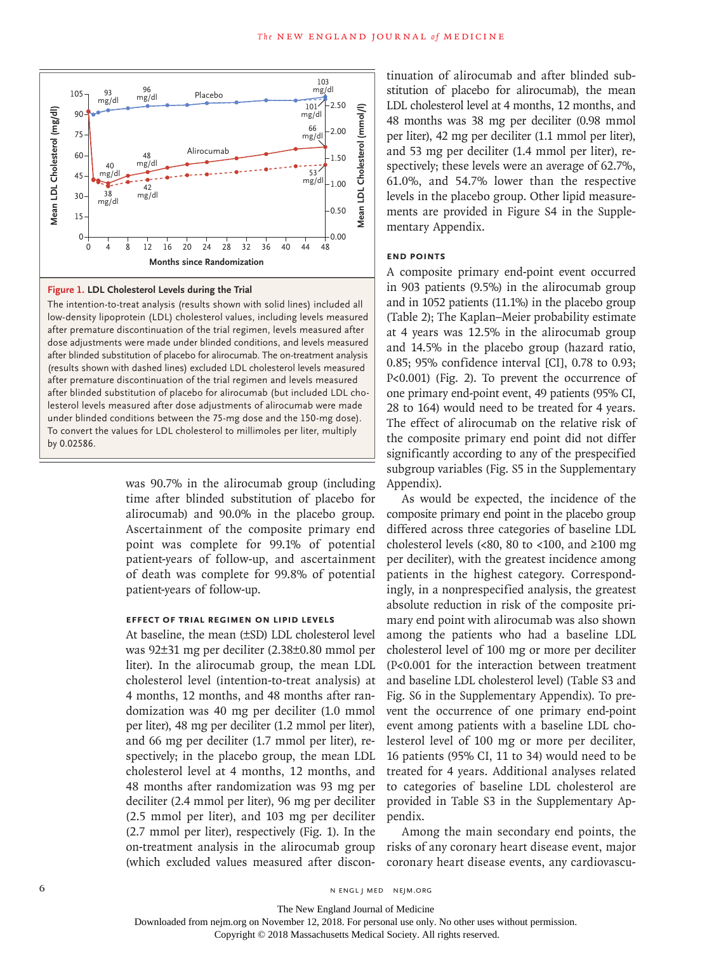

#### **Figure 1. LDL Cholesterol Levels during the Trial**

The intention-to-treat analysis (results shown with solid lines) included all low-density lipoprotein (LDL) cholesterol values, including levels measured after premature discontinuation of the trial regimen, levels measured after dose adjustments were made under blinded conditions, and levels measured after blinded substitution of placebo for alirocumab. The on-treatment analysis (results shown with dashed lines) excluded LDL cholesterol levels measured after premature discontinuation of the trial regimen and levels measured after blinded substitution of placebo for alirocumab (but included LDL cholesterol levels measured after dose adjustments of alirocumab were made under blinded conditions between the 75-mg dose and the 150-mg dose). To convert the values for LDL cholesterol to millimoles per liter, multiply by 0.02586.

> was 90.7% in the alirocumab group (including time after blinded substitution of placebo for alirocumab) and 90.0% in the placebo group. Ascertainment of the composite primary end point was complete for 99.1% of potential patient-years of follow-up, and ascertainment of death was complete for 99.8% of potential patient-years of follow-up.

### **Effect of Trial Regimen on Lipid Levels**

At baseline, the mean (±SD) LDL cholesterol level was 92±31 mg per deciliter (2.38±0.80 mmol per liter). In the alirocumab group, the mean LDL cholesterol level (intention-to-treat analysis) at 4 months, 12 months, and 48 months after randomization was 40 mg per deciliter (1.0 mmol per liter), 48 mg per deciliter (1.2 mmol per liter), and 66 mg per deciliter (1.7 mmol per liter), respectively; in the placebo group, the mean LDL cholesterol level at 4 months, 12 months, and 48 months after randomization was 93 mg per deciliter (2.4 mmol per liter), 96 mg per deciliter (2.5 mmol per liter), and 103 mg per deciliter (2.7 mmol per liter), respectively (Fig. 1). In the on-treatment analysis in the alirocumab group (which excluded values measured after discontinuation of alirocumab and after blinded substitution of placebo for alirocumab), the mean LDL cholesterol level at 4 months, 12 months, and 48 months was 38 mg per deciliter (0.98 mmol per liter), 42 mg per deciliter (1.1 mmol per liter), and 53 mg per deciliter (1.4 mmol per liter), respectively; these levels were an average of 62.7%, 61.0%, and 54.7% lower than the respective levels in the placebo group. Other lipid measurements are provided in Figure S4 in the Supplementary Appendix.

#### **End Points**

A composite primary end-point event occurred in 903 patients (9.5%) in the alirocumab group and in 1052 patients (11.1%) in the placebo group (Table 2); The Kaplan–Meier probability estimate at 4 years was 12.5% in the alirocumab group and 14.5% in the placebo group (hazard ratio, 0.85; 95% confidence interval [CI], 0.78 to 0.93; P<0.001) (Fig. 2). To prevent the occurrence of one primary end-point event, 49 patients (95% CI, 28 to 164) would need to be treated for 4 years. The effect of alirocumab on the relative risk of the composite primary end point did not differ significantly according to any of the prespecified subgroup variables (Fig. S5 in the Supplementary Appendix).

As would be expected, the incidence of the composite primary end point in the placebo group differed across three categories of baseline LDL cholesterol levels (<80, 80 to <100, and  $\geq$ 100 mg per deciliter), with the greatest incidence among patients in the highest category. Correspondingly, in a nonprespecified analysis, the greatest absolute reduction in risk of the composite primary end point with alirocumab was also shown among the patients who had a baseline LDL cholesterol level of 100 mg or more per deciliter (P<0.001 for the interaction between treatment and baseline LDL cholesterol level) (Table S3 and Fig. S6 in the Supplementary Appendix). To prevent the occurrence of one primary end-point event among patients with a baseline LDL cholesterol level of 100 mg or more per deciliter, 16 patients (95% CI, 11 to 34) would need to be treated for 4 years. Additional analyses related to categories of baseline LDL cholesterol are provided in Table S3 in the Supplementary Appendix.

Among the main secondary end points, the risks of any coronary heart disease event, major coronary heart disease events, any cardiovascu-

The New England Journal of Medicine

Downloaded from nejm.org on November 12, 2018. For personal use only. No other uses without permission.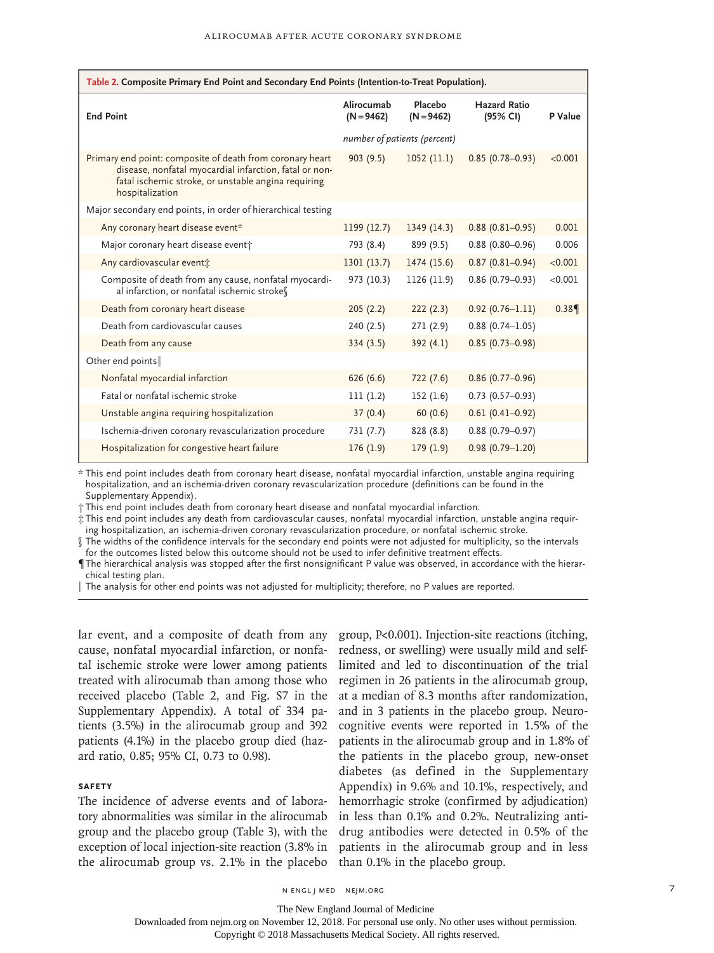| Table 2. Composite Primary End Point and Secondary End Points (Intention-to-Treat Population).                                                                                                |                              |                         |                                 |         |  |  |
|-----------------------------------------------------------------------------------------------------------------------------------------------------------------------------------------------|------------------------------|-------------------------|---------------------------------|---------|--|--|
| <b>End Point</b>                                                                                                                                                                              | Alirocumab<br>$(N = 9462)$   | Placebo<br>$(N = 9462)$ | <b>Hazard Ratio</b><br>(95% CI) | P Value |  |  |
|                                                                                                                                                                                               | number of patients (percent) |                         |                                 |         |  |  |
| Primary end point: composite of death from coronary heart<br>disease, nonfatal myocardial infarction, fatal or non-<br>fatal ischemic stroke, or unstable angina requiring<br>hospitalization | 903(9.5)                     | 1052(11.1)              | $0.85(0.78 - 0.93)$             | < 0.001 |  |  |
| Major secondary end points, in order of hierarchical testing                                                                                                                                  |                              |                         |                                 |         |  |  |
| Any coronary heart disease event*                                                                                                                                                             | 1199(12.7)                   | 1349(14.3)              | $0.88(0.81 - 0.95)$             | 0.001   |  |  |
| Major coronary heart disease eventt                                                                                                                                                           | 793 (8.4)                    | 899 (9.5)               | $0.88(0.80 - 0.96)$             | 0.006   |  |  |
| Any cardiovascular events                                                                                                                                                                     | 1301(13.7)                   | 1474 (15.6)             | $0.87(0.81 - 0.94)$             | < 0.001 |  |  |
| Composite of death from any cause, nonfatal myocardi-<br>al infarction, or nonfatal ischemic strokes                                                                                          | 973 (10.3)                   | 1126 (11.9)             | $0.86(0.79 - 0.93)$             | < 0.001 |  |  |
| Death from coronary heart disease                                                                                                                                                             | 205(2.2)                     | 222(2.3)                | $0.92(0.76 - 1.11)$             | 0.389   |  |  |
| Death from cardiovascular causes                                                                                                                                                              | 240 (2.5)                    | 271(2.9)                | $0.88(0.74 - 1.05)$             |         |  |  |
| Death from any cause                                                                                                                                                                          | 334(3.5)                     | 392(4.1)                | $0.85(0.73 - 0.98)$             |         |  |  |
| Other end points                                                                                                                                                                              |                              |                         |                                 |         |  |  |
| Nonfatal myocardial infarction                                                                                                                                                                | 626(6.6)                     | 722(7.6)                | $0.86(0.77-0.96)$               |         |  |  |
| Fatal or nonfatal ischemic stroke                                                                                                                                                             | 111(1.2)                     | 152(1.6)                | $0.73(0.57-0.93)$               |         |  |  |
| Unstable angina requiring hospitalization                                                                                                                                                     | 37(0.4)                      | 60(0.6)                 | $0.61(0.41 - 0.92)$             |         |  |  |
| Ischemia-driven coronary revascularization procedure                                                                                                                                          | 731 (7.7)                    | 828 (8.8)               | $0.88(0.79 - 0.97)$             |         |  |  |
| Hospitalization for congestive heart failure                                                                                                                                                  | 176(1.9)                     | 179(1.9)                | $0.98(0.79 - 1.20)$             |         |  |  |

\* This end point includes death from coronary heart disease, nonfatal myocardial infarction, unstable angina requiring hospitalization, and an ischemia-driven coronary revascularization procedure (definitions can be found in the Supplementary Appendix).

† This end point includes death from coronary heart disease and nonfatal myocardial infarction.

‡ This end point includes any death from cardiovascular causes, nonfatal myocardial infarction, unstable angina requiring hospitalization, an ischemia-driven coronary revascularization procedure, or nonfatal ischemic stroke.

§ The widths of the confidence intervals for the secondary end points were not adjusted for multiplicity, so the intervals for the outcomes listed below this outcome should not be used to infer definitive treatment effects.

¶ The hierarchical analysis was stopped after the first nonsignificant P value was observed, in accordance with the hierarchical testing plan.

The analysis for other end points was not adjusted for multiplicity; therefore, no P values are reported.

lar event, and a composite of death from any cause, nonfatal myocardial infarction, or nonfatal ischemic stroke were lower among patients treated with alirocumab than among those who received placebo (Table 2, and Fig. S7 in the Supplementary Appendix). A total of 334 patients (3.5%) in the alirocumab group and 392 patients (4.1%) in the placebo group died (hazard ratio, 0.85; 95% CI, 0.73 to 0.98).

## **Safety**

The incidence of adverse events and of laboratory abnormalities was similar in the alirocumab group and the placebo group (Table 3), with the exception of local injection-site reaction (3.8% in the alirocumab group vs. 2.1% in the placebo

group, P<0.001). Injection-site reactions (itching, redness, or swelling) were usually mild and selflimited and led to discontinuation of the trial regimen in 26 patients in the alirocumab group, at a median of 8.3 months after randomization, and in 3 patients in the placebo group. Neurocognitive events were reported in 1.5% of the patients in the alirocumab group and in 1.8% of the patients in the placebo group, new-onset diabetes (as defined in the Supplementary Appendix) in 9.6% and 10.1%, respectively, and hemorrhagic stroke (confirmed by adjudication) in less than 0.1% and 0.2%. Neutralizing antidrug antibodies were detected in 0.5% of the patients in the alirocumab group and in less than 0.1% in the placebo group.

n engl j med nejm.org 7

The New England Journal of Medicine

Downloaded from nejm.org on November 12, 2018. For personal use only. No other uses without permission.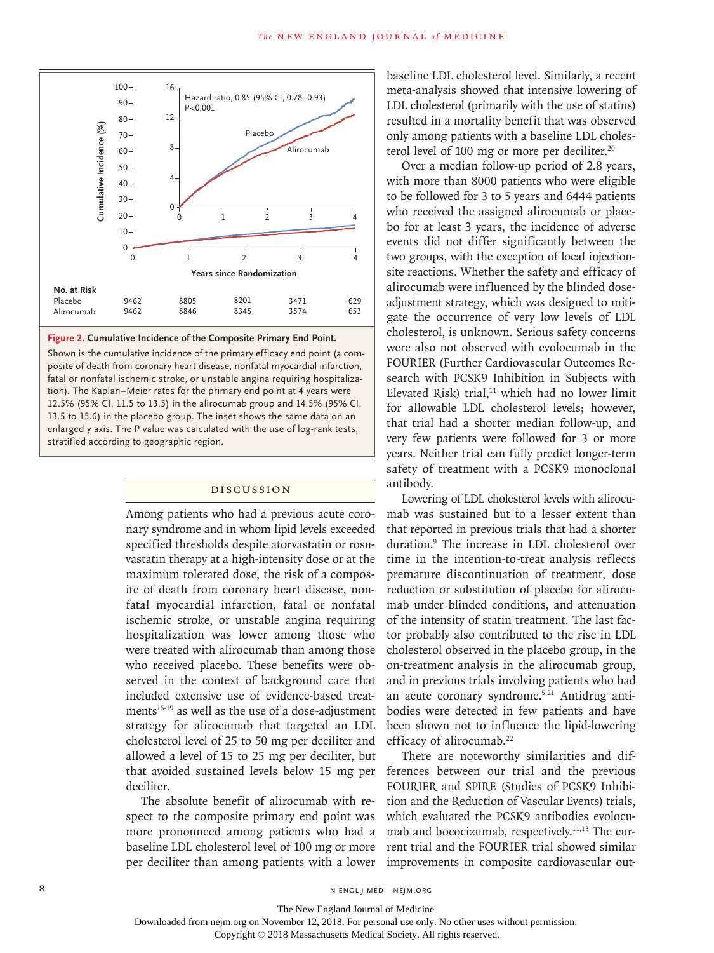

#### **Figure 2. Cumulative Incidence of the Composite Primary End Point.**

Shown is the cumulative incidence of the primary efficacy end point (a composite of death from coronary heart disease, nonfatal myocardial infarction, fatal or nonfatal ischemic stroke, or unstable angina requiring hospitalization). The Kaplan–Meier rates for the primary end point at 4 years were 12.5% (95% CI, 11.5 to 13.5) in the alirocumab group and 14.5% (95% CI, 13.5 to 15.6) in the placebo group. The inset shows the same data on an enlarged y axis. The P value was calculated with the use of log-rank tests,

#### Discussion

Among patients who had a previous acute coronary syndrome and in whom lipid levels exceeded specified thresholds despite atorvastatin or rosuvastatin therapy at a high-intensity dose or at the maximum tolerated dose, the risk of a composite of death from coronary heart disease, nonfatal myocardial infarction, fatal or nonfatal ischemic stroke, or unstable angina requiring hospitalization was lower among those who were treated with alirocumab than among those who received placebo. These benefits were observed in the context of background care that included extensive use of evidence-based treatments<sup>16-19</sup> as well as the use of a dose-adjustment strategy for alirocumab that targeted an LDL cholesterol level of 25 to 50 mg per deciliter and allowed a level of 15 to 25 mg per deciliter, but that avoided sustained levels below 15 mg per deciliter.

The absolute benefit of alirocumab with respect to the composite primary end point was more pronounced among patients who had a baseline LDL cholesterol level of 100 mg or more per deciliter than among patients with a lower baseline LDL cholesterol level. Similarly, a recent meta-analysis showed that intensive lowering of LDL cholesterol (primarily with the use of statins) resulted in a mortality benefit that was observed only among patients with a baseline LDL cholesterol level of 100 mg or more per deciliter.<sup>20</sup>

Over a median follow-up period of 2.8 years, with more than 8000 patients who were eligible to be followed for 3 to 5 years and 6444 patients who received the assigned alirocumab or placebo for at least 3 years, the incidence of adverse events did not differ significantly between the two groups, with the exception of local injectionsite reactions. Whether the safety and efficacy of alirocumab were influenced by the blinded doseadjustment strategy, which was designed to mitigate the occurrence of very low levels of LDL cholesterol, is unknown. Serious safety concerns were also not observed with evolocumab in the FOURIER (Further Cardiovascular Outcomes Research with PCSK9 Inhibition in Subjects with Elevated Risk) trial, $11$  which had no lower limit for allowable LDL cholesterol levels; however, that trial had a shorter median follow-up, and very few patients were followed for 3 or more years. Neither trial can fully predict longer-term safety of treatment with a PCSK9 monoclonal antibody.

Lowering of LDL cholesterol levels with alirocumab was sustained but to a lesser extent than that reported in previous trials that had a shorter duration.9 The increase in LDL cholesterol over time in the intention-to-treat analysis reflects premature discontinuation of treatment, dose reduction or substitution of placebo for alirocumab under blinded conditions, and attenuation of the intensity of statin treatment. The last factor probably also contributed to the rise in LDL cholesterol observed in the placebo group, in the on-treatment analysis in the alirocumab group, and in previous trials involving patients who had an acute coronary syndrome.5,21 Antidrug antibodies were detected in few patients and have been shown not to influence the lipid-lowering efficacy of alirocumab.<sup>22</sup>

There are noteworthy similarities and differences between our trial and the previous FOURIER and SPIRE (Studies of PCSK9 Inhibition and the Reduction of Vascular Events) trials, which evaluated the PCSK9 antibodies evolocumab and bococizumab, respectively.11,13 The current trial and the FOURIER trial showed similar improvements in composite cardiovascular out-

The New England Journal of Medicine

Downloaded from nejm.org on November 12, 2018. For personal use only. No other uses without permission.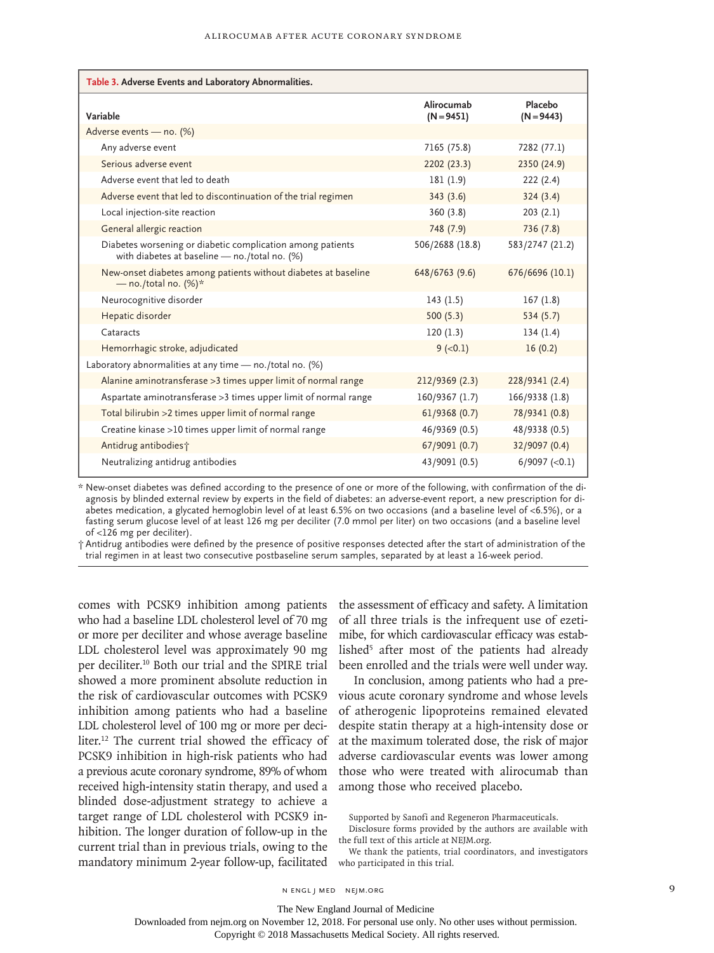| Table 3. Adverse Events and Laboratory Abnormalities.                                                       |                            |                         |  |  |  |  |
|-------------------------------------------------------------------------------------------------------------|----------------------------|-------------------------|--|--|--|--|
| Variable                                                                                                    | Alirocumab<br>$(N = 9451)$ | Placebo<br>$(N = 9443)$ |  |  |  |  |
| Adverse events - no. (%)                                                                                    |                            |                         |  |  |  |  |
| Any adverse event                                                                                           | 7165 (75.8)                | 7282 (77.1)             |  |  |  |  |
| Serious adverse event                                                                                       | 2202 (23.3)                | 2350 (24.9)             |  |  |  |  |
| Adverse event that led to death                                                                             | 181(1.9)                   | 222(2.4)                |  |  |  |  |
| Adverse event that led to discontinuation of the trial regimen                                              | 343(3.6)                   | 324(3.4)                |  |  |  |  |
| Local injection-site reaction                                                                               | 360(3.8)                   | 203(2.1)                |  |  |  |  |
| General allergic reaction                                                                                   | 748 (7.9)                  | 736(7.8)                |  |  |  |  |
| Diabetes worsening or diabetic complication among patients<br>with diabetes at baseline - no./total no. (%) | 506/2688 (18.8)            | 583/2747 (21.2)         |  |  |  |  |
| New-onset diabetes among patients without diabetes at baseline<br>- no./total no. $(\%)^*$                  | 648/6763 (9.6)             | 676/6696 (10.1)         |  |  |  |  |
| Neurocognitive disorder                                                                                     | 143(1.5)                   | 167(1.8)                |  |  |  |  |
| Hepatic disorder                                                                                            | 500(5.3)                   | 534(5.7)                |  |  |  |  |
| Cataracts                                                                                                   | 120(1.3)                   | 134(1.4)                |  |  |  |  |
| Hemorrhagic stroke, adjudicated                                                                             | $9 (-0.1)$                 | 16(0.2)                 |  |  |  |  |
| Laboratory abnormalities at any time - no./total no. (%)                                                    |                            |                         |  |  |  |  |
| Alanine aminotransferase > 3 times upper limit of normal range                                              | 212/9369 (2.3)             | 228/9341 (2.4)          |  |  |  |  |
| Aspartate aminotransferase > 3 times upper limit of normal range                                            | 160/9367 (1.7)             | 166/9338 (1.8)          |  |  |  |  |
| Total bilirubin >2 times upper limit of normal range                                                        | 61/9368(0.7)               | 78/9341 (0.8)           |  |  |  |  |
| Creatine kinase >10 times upper limit of normal range                                                       | 46/9369 (0.5)              | 48/9338 (0.5)           |  |  |  |  |
| Antidrug antibodies;                                                                                        | 67/9091 (0.7)              | 32/9097 (0.4)           |  |  |  |  |
| Neutralizing antidrug antibodies                                                                            | 43/9091 (0.5)              | $6/9097$ (<0.1)         |  |  |  |  |

\* New-onset diabetes was defined according to the presence of one or more of the following, with confirmation of the diagnosis by blinded external review by experts in the field of diabetes: an adverse-event report, a new prescription for diabetes medication, a glycated hemoglobin level of at least 6.5% on two occasions (and a baseline level of <6.5%), or a fasting serum glucose level of at least 126 mg per deciliter (7.0 mmol per liter) on two occasions (and a baseline level of <126 mg per deciliter).

† Antidrug antibodies were defined by the presence of positive responses detected after the start of administration of the trial regimen in at least two consecutive postbaseline serum samples, separated by at least a 16-week period.

comes with PCSK9 inhibition among patients who had a baseline LDL cholesterol level of 70 mg or more per deciliter and whose average baseline LDL cholesterol level was approximately 90 mg per deciliter.10 Both our trial and the SPIRE trial showed a more prominent absolute reduction in the risk of cardiovascular outcomes with PCSK9 inhibition among patients who had a baseline LDL cholesterol level of 100 mg or more per deciliter.12 The current trial showed the efficacy of PCSK9 inhibition in high-risk patients who had a previous acute coronary syndrome, 89% of whom received high-intensity statin therapy, and used a blinded dose-adjustment strategy to achieve a target range of LDL cholesterol with PCSK9 inhibition. The longer duration of follow-up in the current trial than in previous trials, owing to the mandatory minimum 2-year follow-up, facilitated

the assessment of efficacy and safety. A limitation of all three trials is the infrequent use of ezetimibe, for which cardiovascular efficacy was established<sup>5</sup> after most of the patients had already been enrolled and the trials were well under way.

In conclusion, among patients who had a previous acute coronary syndrome and whose levels of atherogenic lipoproteins remained elevated despite statin therapy at a high-intensity dose or at the maximum tolerated dose, the risk of major adverse cardiovascular events was lower among those who were treated with alirocumab than among those who received placebo.

Supported by Sanofi and Regeneron Pharmaceuticals.

We thank the patients, trial coordinators, and investigators who participated in this trial.

The New England Journal of Medicine

Disclosure forms provided by the authors are available with the full text of this article at NEJM.org.

Downloaded from nejm.org on November 12, 2018. For personal use only. No other uses without permission.